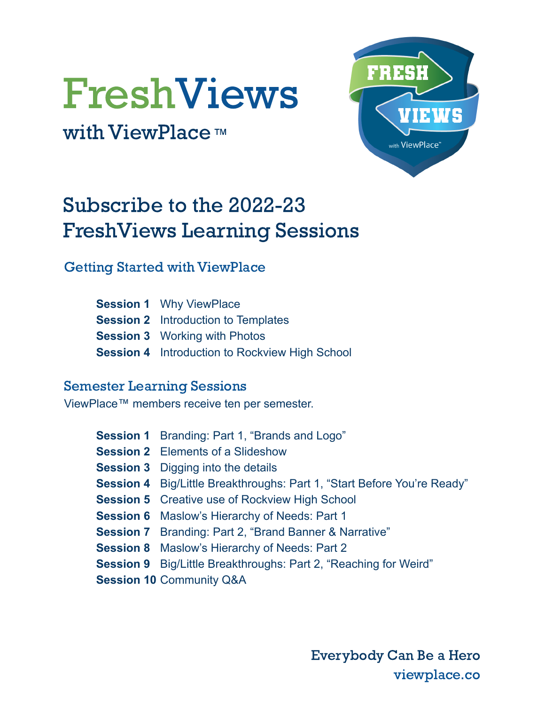# FreshViews

with ViewPlace™



## Subscribe to the 2022-23 FreshViews Learning Sessions

Getting Started with ViewPlace

| <b>Session 1</b> Why ViewPlace                        |
|-------------------------------------------------------|
| <b>Session 2</b> Introduction to Templates            |
| <b>Session 3</b> Working with Photos                  |
| <b>Session 4</b> Introduction to Rockview High School |

#### Semester Learning Sessions

ViewPlace™ members receive ten per semester.

| <b>Session 1</b> Branding: Part 1, "Brands and Logo"                           |
|--------------------------------------------------------------------------------|
| <b>Session 2</b> Elements of a Slideshow                                       |
| <b>Session 3</b> Digging into the details                                      |
| <b>Session 4</b> Big/Little Breakthroughs: Part 1, "Start Before You're Ready" |
| <b>Session 5</b> Creative use of Rockview High School                          |
| <b>Session 6</b> Maslow's Hierarchy of Needs: Part 1                           |
| <b>Session 7</b> Branding: Part 2, "Brand Banner & Narrative"                  |
| <b>Session 8</b> Maslow's Hierarchy of Needs: Part 2                           |
| <b>Session 9</b> Big/Little Breakthroughs: Part 2, "Reaching for Weird"        |
| <b>Session 10 Community Q&amp;A</b>                                            |

Everybody Can Be a Hero viewplace.co